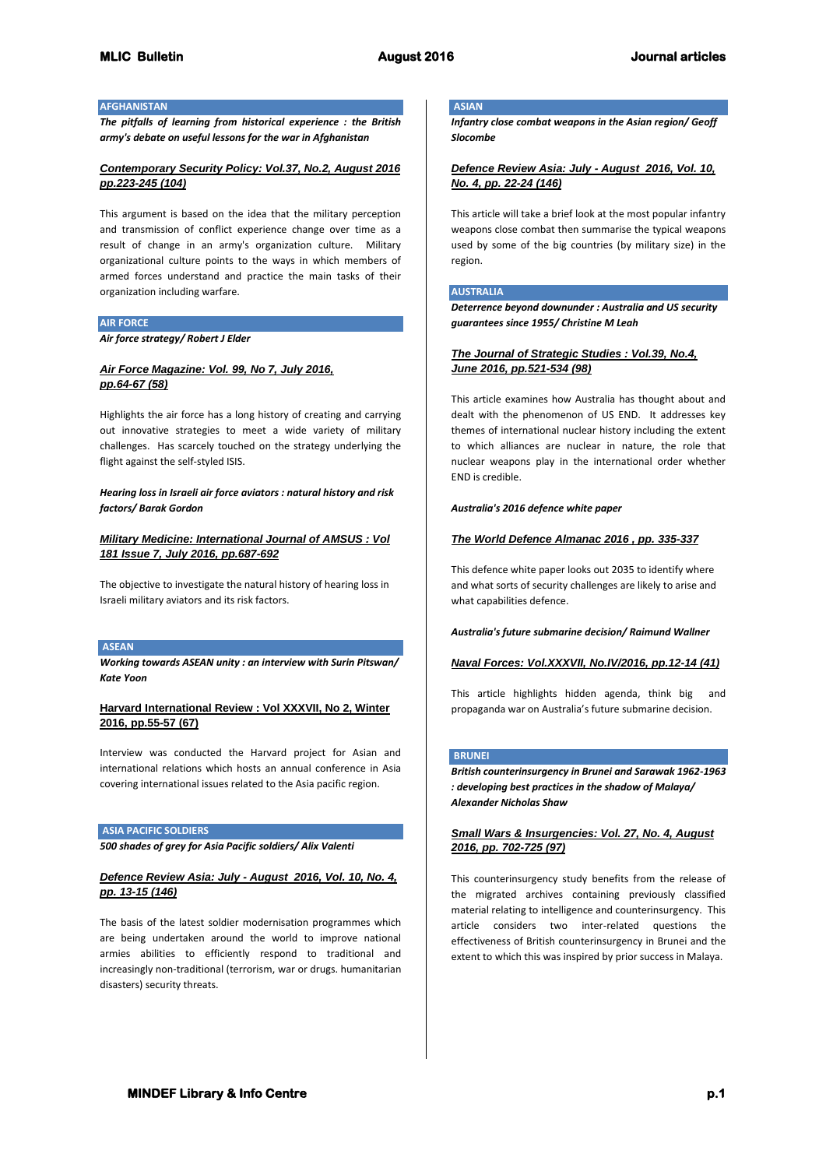### **AFGHANISTAN**

*The pitfalls of learning from historical experience : the British army's debate on useful lessons for the war in Afghanistan*

### *Contemporary Security Policy: Vol.37, No.2, August 2016 pp.223-245 (104)*

This argument is based on the idea that the military perception and transmission of conflict experience change over time as a result of change in an army's organization culture. Military organizational culture points to the ways in which members of armed forces understand and practice the main tasks of their organization including warfare.

#### **AIR FORCE**

*Air force strategy/ Robert J Elder*

### *Air Force Magazine: Vol. 99, No 7, July 2016, pp.64-67 (58)*

Highlights the air force has a long history of creating and carrying out innovative strategies to meet a wide variety of military challenges. Has scarcely touched on the strategy underlying the flight against the self-styled ISIS.

*Hearing loss in Israeli air force aviators : natural history and risk factors/ Barak Gordon*

*Military Medicine: International Journal of AMSUS : Vol 181 Issue 7, July 2016, pp.687-692*

The objective to investigate the natural history of hearing loss in Israeli military aviators and its risk factors.

### **ASEAN**

*Working towards ASEAN unity : an interview with Surin Pitswan/ Kate Yoon*

### **Harvard International Review : Vol XXXVII, No 2, Winter 2016, pp.55-57 (67)**

Interview was conducted the Harvard project for Asian and international relations which hosts an annual conference in Asia covering international issues related to the Asia pacific region.

### **ASIA PACIFIC SOLDIERS**

*500 shades of grey for Asia Pacific soldiers/ Alix Valenti*

# *Defence Review Asia: July - August 2016, Vol. 10, No. 4, pp. 13-15 (146)*

The basis of the latest soldier modernisation programmes which are being undertaken around the world to improve national armies abilities to efficiently respond to traditional and increasingly non-traditional (terrorism, war or drugs. humanitarian disasters) security threats.

# **ASIAN**

*Infantry close combat weapons in the Asian region/ Geoff Slocombe*

# *Defence Review Asia: July - August 2016, Vol. 10, No. 4, pp. 22-24 (146)*

This article will take a brief look at the most popular infantry weapons close combat then summarise the typical weapons used by some of the big countries (by military size) in the region.

#### **AUSTRALIA**

*Deterrence beyond downunder : Australia and US security guarantees since 1955/ Christine M Leah*

### *The Journal of Strategic Studies : Vol.39, No.4, June 2016, pp.521-534 (98)*

This article examines how Australia has thought about and dealt with the phenomenon of US END. It addresses key themes of international nuclear history including the extent to which alliances are nuclear in nature, the role that nuclear weapons play in the international order whether END is credible.

#### *Australia's 2016 defence white paper*

# *The World Defence Almanac 2016 , pp. 335-337*

This defence white paper looks out 2035 to identify where and what sorts of security challenges are likely to arise and what capabilities defence.

*Australia's future submarine decision/ Raimund Wallner*

### *Naval Forces: Vol.XXXVII, No.IV/2016, pp.12-14 (41)*

This article highlights hidden agenda, think big and propaganda war on Australia's future submarine decision.

#### **BRUNEI**

*British counterinsurgency in Brunei and Sarawak 1962-1963 : developing best practices in the shadow of Malaya/ Alexander Nicholas Shaw*

# *Small Wars & Insurgencies: Vol. 27, No. 4, August 2016, pp. 702-725 (97)*

This counterinsurgency study benefits from the release of the migrated archives containing previously classified material relating to intelligence and counterinsurgency. This article considers two inter-related questions the effectiveness of British counterinsurgency in Brunei and the extent to which this was inspired by prior success in Malaya.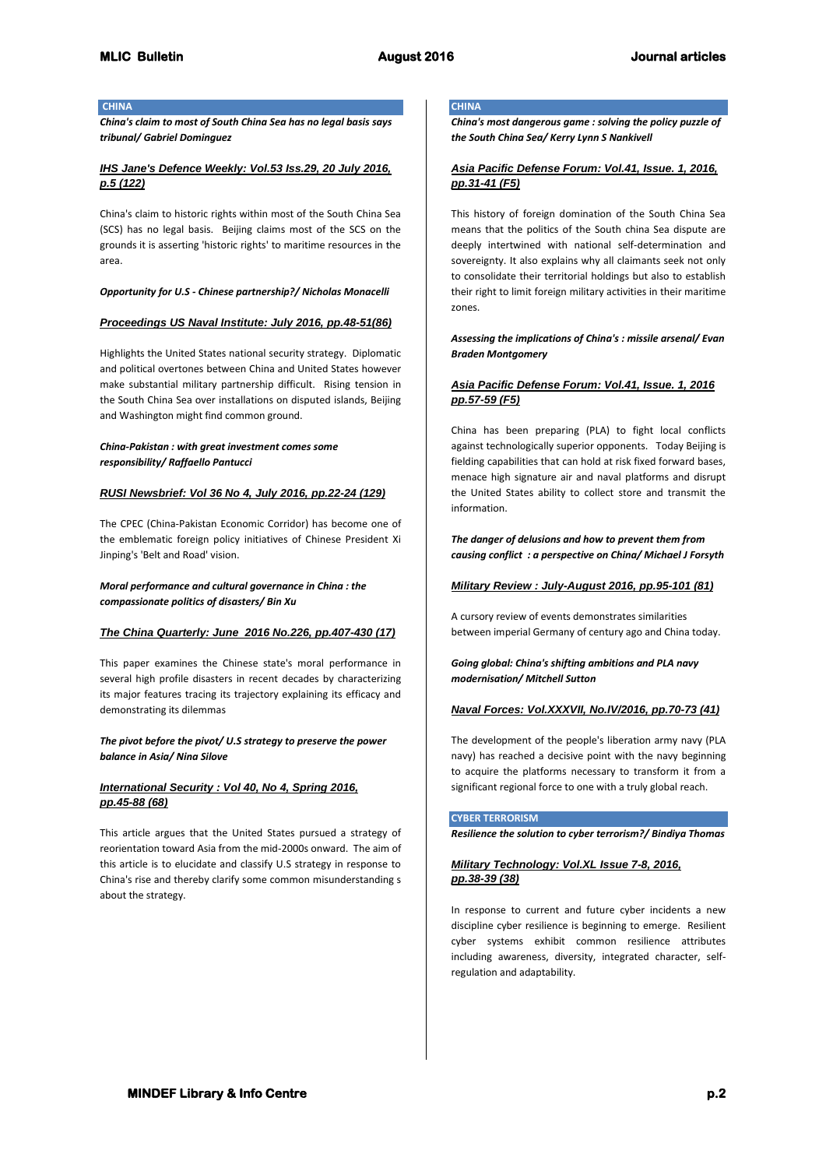### **CHINA**

*China's claim to most of South China Sea has no legal basis says tribunal/ Gabriel Dominguez*

# *IHS Jane's Defence Weekly: Vol.53 Iss.29, 20 July 2016, p.5 (122)*

China's claim to historic rights within most of the South China Sea (SCS) has no legal basis. Beijing claims most of the SCS on the grounds it is asserting 'historic rights' to maritime resources in the area.

*Opportunity for U.S - Chinese partnership?/ Nicholas Monacelli*

#### *Proceedings US Naval Institute: July 2016, pp.48-51(86)*

Highlights the United States national security strategy. Diplomatic and political overtones between China and United States however make substantial military partnership difficult. Rising tension in the South China Sea over installations on disputed islands, Beijing and Washington might find common ground.

### *China-Pakistan : with great investment comes some responsibility/ Raffaello Pantucci*

### *RUSI Newsbrief: Vol 36 No 4, July 2016, pp.22-24 (129)*

The CPEC (China-Pakistan Economic Corridor) has become one of the emblematic foreign policy initiatives of Chinese President Xi Jinping's 'Belt and Road' vision.

### *Moral performance and cultural governance in China : the compassionate politics of disasters/ Bin Xu*

#### *The China Quarterly: June 2016 No.226, pp.407-430 (17)*

This paper examines the Chinese state's moral performance in several high profile disasters in recent decades by characterizing its major features tracing its trajectory explaining its efficacy and demonstrating its dilemmas

### *The pivot before the pivot/ U.S strategy to preserve the power balance in Asia/ Nina Silove*

### *International Security : Vol 40, No 4, Spring 2016, pp.45-88 (68)*

This article argues that the United States pursued a strategy of reorientation toward Asia from the mid-2000s onward. The aim of this article is to elucidate and classify U.S strategy in response to China's rise and thereby clarify some common misunderstanding s about the strategy.

# **CHINA**

*China's most dangerous game : solving the policy puzzle of the South China Sea/ Kerry Lynn S Nankivell*

# *Asia Pacific Defense Forum: Vol.41, Issue. 1, 2016, pp.31-41 (F5)*

This history of foreign domination of the South China Sea means that the politics of the South china Sea dispute are deeply intertwined with national self-determination and sovereignty. It also explains why all claimants seek not only to consolidate their territorial holdings but also to establish their right to limit foreign military activities in their maritime zones.

### *Assessing the implications of China's : missile arsenal/ Evan Braden Montgomery*

# *Asia Pacific Defense Forum: Vol.41, Issue. 1, 2016 pp.57-59 (F5)*

China has been preparing (PLA) to fight local conflicts against technologically superior opponents. Today Beijing is fielding capabilities that can hold at risk fixed forward bases, menace high signature air and naval platforms and disrupt the United States ability to collect store and transmit the information.

*The danger of delusions and how to prevent them from causing conflict : a perspective on China/ Michael J Forsyth*

### *Military Review : July-August 2016, pp.95-101 (81)*

A cursory review of events demonstrates similarities between imperial Germany of century ago and China today.

*Going global: China's shifting ambitions and PLA navy modernisation/ Mitchell Sutton*

# *Naval Forces: Vol.XXXVII, No.IV/2016, pp.70-73 (41)*

The development of the people's liberation army navy (PLA navy) has reached a decisive point with the navy beginning to acquire the platforms necessary to transform it from a significant regional force to one with a truly global reach.

### **CYBER TERRORISM**

*Resilience the solution to cyber terrorism?/ Bindiya Thomas*

# *Military Technology: Vol.XL Issue 7-8, 2016, pp.38-39 (38)*

In response to current and future cyber incidents a new discipline cyber resilience is beginning to emerge. Resilient cyber systems exhibit common resilience attributes including awareness, diversity, integrated character, selfregulation and adaptability.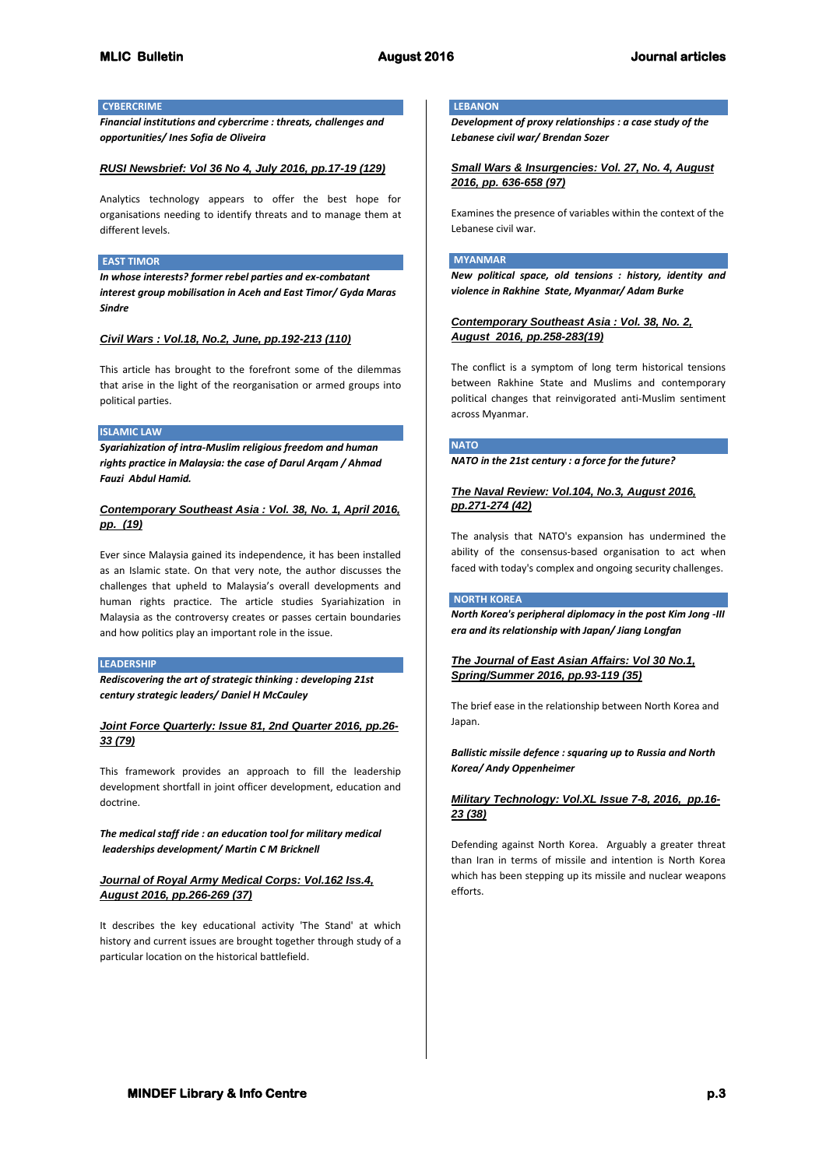# **CYBERCRIME**

*Financial institutions and cybercrime : threats, challenges and opportunities/ Ines Sofia de Oliveira*

### *RUSI Newsbrief: Vol 36 No 4, July 2016, pp.17-19 (129)*

Analytics technology appears to offer the best hope for organisations needing to identify threats and to manage them at different levels.

#### **EAST TIMOR**

*In whose interests? former rebel parties and ex-combatant interest group mobilisation in Aceh and East Timor/ Gyda Maras Sindre*

### *Civil Wars : Vol.18, No.2, June, pp.192-213 (110)*

This article has brought to the forefront some of the dilemmas that arise in the light of the reorganisation or armed groups into political parties.

### **ISLAMIC LAW**

*Syariahization of intra-Muslim religious freedom and human rights practice in Malaysia: the case of Darul Arqam / Ahmad Fauzi Abdul Hamid.*

### *Contemporary Southeast Asia : Vol. 38, No. 1, April 2016, pp. (19)*

Ever since Malaysia gained its independence, it has been installed as an Islamic state. On that very note, the author discusses the challenges that upheld to Malaysia's overall developments and human rights practice. The article studies Syariahization in Malaysia as the controversy creates or passes certain boundaries and how politics play an important role in the issue.

#### **LEADERSHIP**

*Rediscovering the art of strategic thinking : developing 21st century strategic leaders/ Daniel H McCauley*

# *Joint Force Quarterly: Issue 81, 2nd Quarter 2016, pp.26- 33 (79)*

This framework provides an approach to fill the leadership development shortfall in joint officer development, education and doctrine.

*The medical staff ride : an education tool for military medical leaderships development/ Martin C M Bricknell*

# *Journal of Royal Army Medical Corps: Vol.162 Iss.4, August 2016, pp.266-269 (37)*

It describes the key educational activity 'The Stand' at which history and current issues are brought together through study of a particular location on the historical battlefield.

### **LEBANON**

*Development of proxy relationships : a case study of the Lebanese civil war/ Brendan Sozer*

# *Small Wars & Insurgencies: Vol. 27, No. 4, August 2016, pp. 636-658 (97)*

Examines the presence of variables within the context of the Lebanese civil war.

### **MYANMAR**

*New political space, old tensions : history, identity and violence in Rakhine State, Myanmar/ Adam Burke*

*Contemporary Southeast Asia : Vol. 38, No. 2, August 2016, pp.258-283(19)*

The conflict is a symptom of long term historical tensions between Rakhine State and Muslims and contemporary political changes that reinvigorated anti-Muslim sentiment across Myanmar.

### **NATO**

*NATO in the 21st century : a force for the future?*

### *The Naval Review: Vol.104, No.3, August 2016, pp.271-274 (42)*

The analysis that NATO's expansion has undermined the ability of the consensus-based organisation to act when faced with today's complex and ongoing security challenges.

#### **NORTH KOREA**

*North Korea's peripheral diplomacy in the post Kim Jong -III era and its relationship with Japan/ Jiang Longfan*

*The Journal of East Asian Affairs: Vol 30 No.1, Spring/Summer 2016, pp.93-119 (35)*

The brief ease in the relationship between North Korea and Japan.

### *Ballistic missile defence : squaring up to Russia and North Korea/ Andy Oppenheimer*

# *Military Technology: Vol.XL Issue 7-8, 2016, pp.16- 23 (38)*

Defending against North Korea. Arguably a greater threat than Iran in terms of missile and intention is North Korea which has been stepping up its missile and nuclear weapons efforts.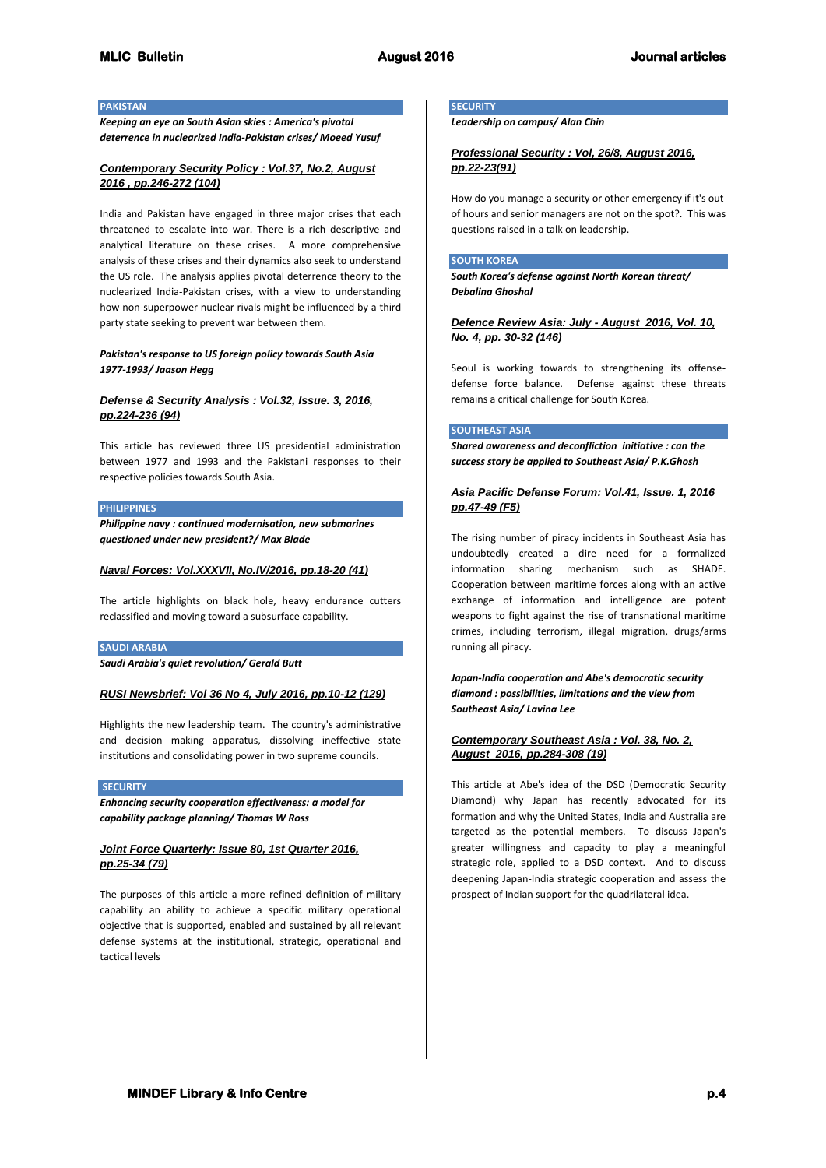### **PAKISTAN**

*Keeping an eye on South Asian skies : America's pivotal deterrence in nuclearized India-Pakistan crises/ Moeed Yusuf*

### *Contemporary Security Policy : Vol.37, No.2, August 2016 , pp.246-272 (104)*

India and Pakistan have engaged in three major crises that each threatened to escalate into war. There is a rich descriptive and analytical literature on these crises. A more comprehensive analysis of these crises and their dynamics also seek to understand the US role. The analysis applies pivotal deterrence theory to the nuclearized India-Pakistan crises, with a view to understanding how non-superpower nuclear rivals might be influenced by a third party state seeking to prevent war between them.

### *Pakistan's response to US foreign policy towards South Asia 1977-1993/ Jaason Hegg*

# *Defense & Security Analysis : Vol.32, Issue. 3, 2016, pp.224-236 (94)*

This article has reviewed three US presidential administration between 1977 and 1993 and the Pakistani responses to their respective policies towards South Asia.

#### **PHILIPPINES**

*Philippine navy : continued modernisation, new submarines questioned under new president?/ Max Blade*

#### *Naval Forces: Vol.XXXVII, No.IV/2016, pp.18-20 (41)*

The article highlights on black hole, heavy endurance cutters reclassified and moving toward a subsurface capability.

#### **SAUDI ARABIA**

*Saudi Arabia's quiet revolution/ Gerald Butt*

# *RUSI Newsbrief: Vol 36 No 4, July 2016, pp.10-12 (129)*

Highlights the new leadership team. The country's administrative and decision making apparatus, dissolving ineffective state institutions and consolidating power in two supreme councils.

#### **SECURITY**

*Enhancing security cooperation effectiveness: a model for capability package planning/ Thomas W Ross*

# *Joint Force Quarterly: Issue 80, 1st Quarter 2016, pp.25-34 (79)*

The purposes of this article a more refined definition of military capability an ability to achieve a specific military operational objective that is supported, enabled and sustained by all relevant defense systems at the institutional, strategic, operational and tactical levels

# **SECURITY**

*Leadership on campus/ Alan Chin*

### *Professional Security : Vol, 26/8, August 2016, pp.22-23(91)*

How do you manage a security or other emergency if it's out of hours and senior managers are not on the spot?. This was questions raised in a talk on leadership.

#### **SOUTH KOREA**

*South Korea's defense against North Korean threat/ Debalina Ghoshal*

### *Defence Review Asia: July - August 2016, Vol. 10, No. 4, pp. 30-32 (146)*

Seoul is working towards to strengthening its offensedefense force balance. Defense against these threats remains a critical challenge for South Korea.

#### **SOUTHEAST ASIA**

*Shared awareness and deconfliction initiative : can the success story be applied to Southeast Asia/ P.K.Ghosh*

# *Asia Pacific Defense Forum: Vol.41, Issue. 1, 2016 pp.47-49 (F5)*

The rising number of piracy incidents in Southeast Asia has undoubtedly created a dire need for a formalized information sharing mechanism such as SHADE. Cooperation between maritime forces along with an active exchange of information and intelligence are potent weapons to fight against the rise of transnational maritime crimes, including terrorism, illegal migration, drugs/arms running all piracy.

*Japan-India cooperation and Abe's democratic security diamond : possibilities, limitations and the view from Southeast Asia/ Lavina Lee*

### *Contemporary Southeast Asia : Vol. 38, No. 2, August 2016, pp.284-308 (19)*

This article at Abe's idea of the DSD (Democratic Security Diamond) why Japan has recently advocated for its formation and why the United States, India and Australia are targeted as the potential members. To discuss Japan's greater willingness and capacity to play a meaningful strategic role, applied to a DSD context. And to discuss deepening Japan-India strategic cooperation and assess the prospect of Indian support for the quadrilateral idea.